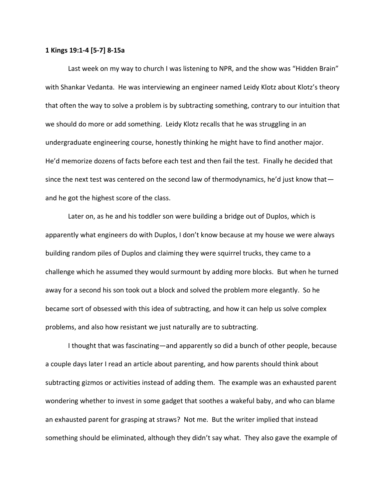## **1 Kings 19:1-4 [5-7] 8-15a**

Last week on my way to church I was listening to NPR, and the show was "Hidden Brain" with Shankar Vedanta. He was interviewing an engineer named Leidy Klotz about Klotz's theory that often the way to solve a problem is by subtracting something, contrary to our intuition that we should do more or add something. Leidy Klotz recalls that he was struggling in an undergraduate engineering course, honestly thinking he might have to find another major. He'd memorize dozens of facts before each test and then fail the test. Finally he decided that since the next test was centered on the second law of thermodynamics, he'd just know that and he got the highest score of the class.

Later on, as he and his toddler son were building a bridge out of Duplos, which is apparently what engineers do with Duplos, I don't know because at my house we were always building random piles of Duplos and claiming they were squirrel trucks, they came to a challenge which he assumed they would surmount by adding more blocks. But when he turned away for a second his son took out a block and solved the problem more elegantly. So he became sort of obsessed with this idea of subtracting, and how it can help us solve complex problems, and also how resistant we just naturally are to subtracting.

I thought that was fascinating—and apparently so did a bunch of other people, because a couple days later I read an article about parenting, and how parents should think about subtracting gizmos or activities instead of adding them. The example was an exhausted parent wondering whether to invest in some gadget that soothes a wakeful baby, and who can blame an exhausted parent for grasping at straws? Not me. But the writer implied that instead something should be eliminated, although they didn't say what. They also gave the example of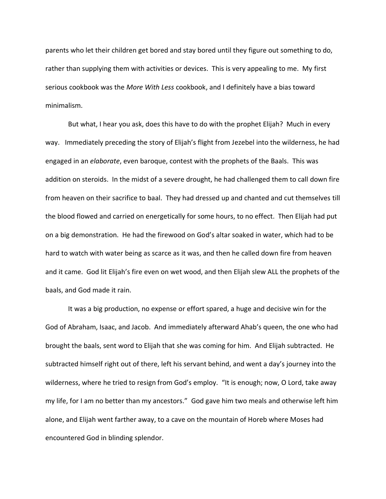parents who let their children get bored and stay bored until they figure out something to do, rather than supplying them with activities or devices. This is very appealing to me. My first serious cookbook was the *More With Less* cookbook, and I definitely have a bias toward minimalism.

But what, I hear you ask, does this have to do with the prophet Elijah? Much in every way. Immediately preceding the story of Elijah's flight from Jezebel into the wilderness, he had engaged in an *elaborate*, even baroque, contest with the prophets of the Baals. This was addition on steroids. In the midst of a severe drought, he had challenged them to call down fire from heaven on their sacrifice to baal. They had dressed up and chanted and cut themselves till the blood flowed and carried on energetically for some hours, to no effect. Then Elijah had put on a big demonstration. He had the firewood on God's altar soaked in water, which had to be hard to watch with water being as scarce as it was, and then he called down fire from heaven and it came. God lit Elijah's fire even on wet wood, and then Elijah slew ALL the prophets of the baals, and God made it rain.

It was a big production, no expense or effort spared, a huge and decisive win for the God of Abraham, Isaac, and Jacob. And immediately afterward Ahab's queen, the one who had brought the baals, sent word to Elijah that she was coming for him. And Elijah subtracted. He subtracted himself right out of there, left his servant behind, and went a day's journey into the wilderness, where he tried to resign from God's employ. "It is enough; now, O Lord, take away my life, for I am no better than my ancestors." God gave him two meals and otherwise left him alone, and Elijah went farther away, to a cave on the mountain of Horeb where Moses had encountered God in blinding splendor.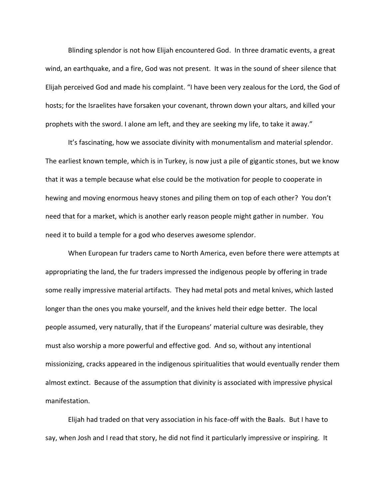Blinding splendor is not how Elijah encountered God. In three dramatic events, a great wind, an earthquake, and a fire, God was not present. It was in the sound of sheer silence that Elijah perceived God and made his complaint. "I have been very zealous for the Lord, the God of hosts; for the Israelites have forsaken your covenant, thrown down your altars, and killed your prophets with the sword. I alone am left, and they are seeking my life, to take it away."

It's fascinating, how we associate divinity with monumentalism and material splendor. The earliest known temple, which is in Turkey, is now just a pile of gigantic stones, but we know that it was a temple because what else could be the motivation for people to cooperate in hewing and moving enormous heavy stones and piling them on top of each other? You don't need that for a market, which is another early reason people might gather in number. You need it to build a temple for a god who deserves awesome splendor.

When European fur traders came to North America, even before there were attempts at appropriating the land, the fur traders impressed the indigenous people by offering in trade some really impressive material artifacts. They had metal pots and metal knives, which lasted longer than the ones you make yourself, and the knives held their edge better. The local people assumed, very naturally, that if the Europeans' material culture was desirable, they must also worship a more powerful and effective god. And so, without any intentional missionizing, cracks appeared in the indigenous spiritualities that would eventually render them almost extinct. Because of the assumption that divinity is associated with impressive physical manifestation.

Elijah had traded on that very association in his face-off with the Baals. But I have to say, when Josh and I read that story, he did not find it particularly impressive or inspiring. It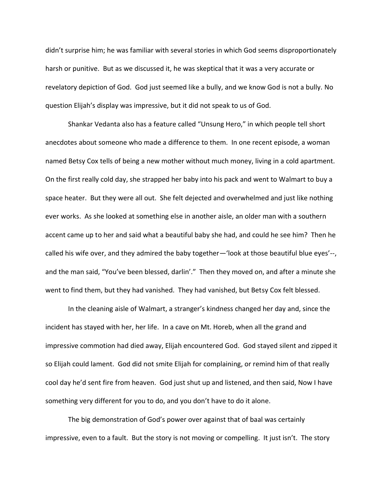didn't surprise him; he was familiar with several stories in which God seems disproportionately harsh or punitive. But as we discussed it, he was skeptical that it was a very accurate or revelatory depiction of God. God just seemed like a bully, and we know God is not a bully. No question Elijah's display was impressive, but it did not speak to us of God.

Shankar Vedanta also has a feature called "Unsung Hero," in which people tell short anecdotes about someone who made a difference to them. In one recent episode, a woman named Betsy Cox tells of being a new mother without much money, living in a cold apartment. On the first really cold day, she strapped her baby into his pack and went to Walmart to buy a space heater. But they were all out. She felt dejected and overwhelmed and just like nothing ever works. As she looked at something else in another aisle, an older man with a southern accent came up to her and said what a beautiful baby she had, and could he see him? Then he called his wife over, and they admired the baby together—'look at those beautiful blue eyes'--, and the man said, "You've been blessed, darlin'." Then they moved on, and after a minute she went to find them, but they had vanished. They had vanished, but Betsy Cox felt blessed.

In the cleaning aisle of Walmart, a stranger's kindness changed her day and, since the incident has stayed with her, her life. In a cave on Mt. Horeb, when all the grand and impressive commotion had died away, Elijah encountered God. God stayed silent and zipped it so Elijah could lament. God did not smite Elijah for complaining, or remind him of that really cool day he'd sent fire from heaven. God just shut up and listened, and then said, Now I have something very different for you to do, and you don't have to do it alone.

The big demonstration of God's power over against that of baal was certainly impressive, even to a fault. But the story is not moving or compelling. It just isn't. The story